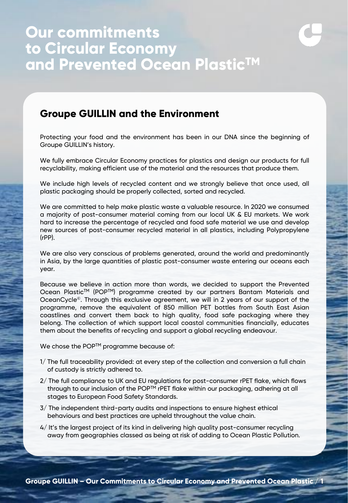## **Our commitments to Circular Economy and Prevented Ocean PlasticTM**

## **Groupe GUILLIN and the Environment**

Protecting your food and the environment has been in our DNA since the beginning of Groupe GUILLIN's history.

We fully embrace Circular Economy practices for plastics and design our products for full recyclability, making efficient use of the material and the resources that produce them.

We include high levels of recycled content and we strongly believe that once used, all plastic packaging should be properly collected, sorted and recycled.

We are committed to help make plastic waste a valuable resource. In 2020 we consumed a majority of post-consumer material coming from our local UK & EU markets. We work hard to increase the percentage of recycled and food safe material we use and develop new sources of post-consumer recycled material in all plastics, including Polypropylene (rPP).

We are also very conscious of problems generated, around the world and predominantly in Asia, by the large quantities of plastic post-consumer waste entering our oceans each year.

Because we believe in action more than words, we decided to support the Prevented Ocean PlasticTM (POPTM) programme created by our partners Bantam Materials and OceanCycle©. Through this exclusive agreement, we will in 2 years of our support of the programme, remove the equivalent of 850 million PET bottles from South East Asian coastlines and convert them back to high quality, food safe packaging where they belong. The collection of which support local coastal communities financially, educates them about the benefits of recycling and support a global recycling endeavour.

We chose the POP<sup>™</sup> programme because of:

- 1/ The full traceability provided: at every step of the collection and conversion a full chain of custody is strictly adhered to.
- 2/ The full compliance to UK and EU regulations for post-consumer rPET flake, which flows through to our inclusion of the POP<sup>TM</sup> rPET flake within our packaging, adhering at all stages to European Food Safety Standards.
- 3/ The independent third-party audits and inspections to ensure highest ethical behaviours and best practices are upheld throughout the value chain.
- 4/ It's the largest project of its kind in delivering high quality post-consumer recycling away from geographies classed as being at risk of adding to Ocean Plastic Pollution.

**Groupe GUILLIN – Our Commitments to Circular Economy and Prevented Ocean Plastic / 1**